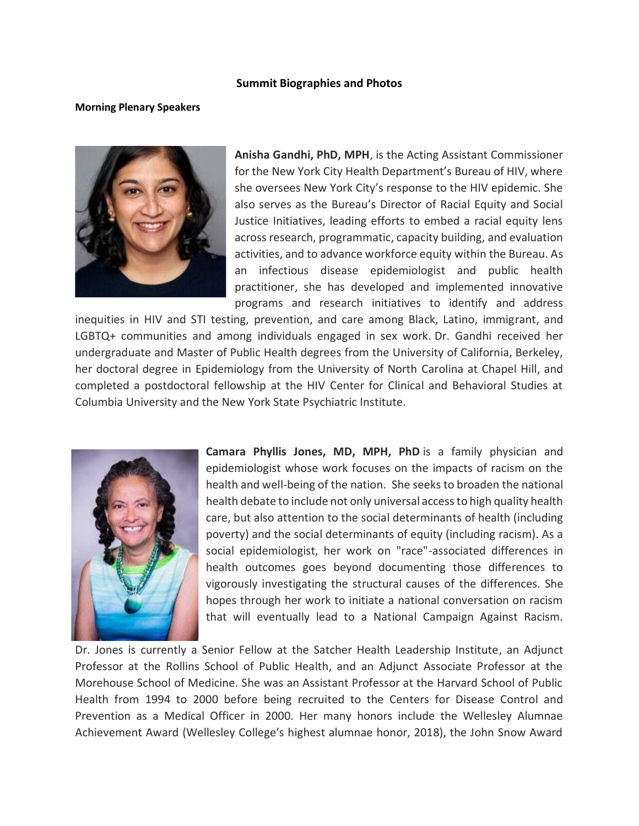## **Summit Biographies and Photos**

## **Morning Plenary Speakers**



**Anisha Gandhi, PhD, MPH**, is the Acting Assistant Commissioner for the New York City Health Department's Bureau of HIV, where she oversees New York City's response to the HIV epidemic. She also serves as the Bureau's Director of Racial Equity and Social Justice Initiatives, leading efforts to embed a racial equity lens across research, programmatic, capacity building, and evaluation activities, and to advance workforce equity within the Bureau. As an infectious disease epidemiologist and public health practitioner, she has developed and implemented innovative programs and research initiatives to identify and address

inequities in HIV and STI testing, prevention, and care among Black, Latino, immigrant, and LGBTQ+ communities and among individuals engaged in sex work. Dr. Gandhi received her undergraduate and Master of Public Health degrees from the University of California, Berkeley, her doctoral degree in Epidemiology from the University of North Carolina at Chapel Hill, and completed a postdoctoral fellowship at the HIV Center for Clinical and Behavioral Studies at Columbia University and the New York State Psychiatric Institute.



**Camara Phyllis Jones, MD, MPH, PhD** is a family physician and epidemiologist whose work focuses on the impacts of racism on the health and well-being of the nation. She seeks to broaden the national health debate to include not only universal access to high quality health care, but also attention to the social determinants of health (including poverty) and the social determinants of equity (including racism). As a social epidemiologist, her work on "race"-associated differences in health outcomes goes beyond documenting those differences to vigorously investigating the structural causes of the differences. She hopes through her work to initiate a national conversation on racism that will eventually lead to a National Campaign Against Racism.

Dr. Jones is currently a Senior Fellow at the Satcher Health Leadership Institute, an Adjunct Professor at the Rollins School of Public Health, and an Adjunct Associate Professor at the Morehouse School of Medicine. She was an Assistant Professor at the Harvard School of Public Health from 1994 to 2000 before being recruited to the Centers for Disease Control and Prevention as a Medical Officer in 2000. Her many honors include the Wellesley Alumnae Achievement Award (Wellesley College's highest alumnae honor, 2018), the John Snow Award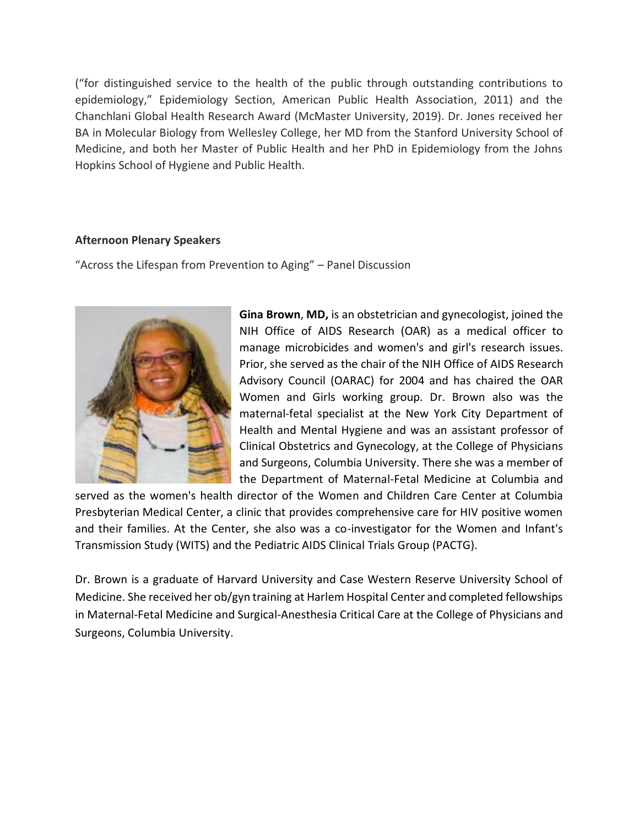("for distinguished service to the health of the public through outstanding contributions to epidemiology," Epidemiology Section, American Public Health Association, 2011) and the Chanchlani Global Health Research Award (McMaster University, 2019). Dr. Jones received her BA in Molecular Biology from Wellesley College, her MD from the Stanford University School of Medicine, and both her Master of Public Health and her PhD in Epidemiology from the Johns Hopkins School of Hygiene and Public Health.

## **Afternoon Plenary Speakers**

"Across the Lifespan from Prevention to Aging" – Panel Discussion



**Gina Brown**, **MD,** is an obstetrician and gynecologist, joined the NIH Office of AIDS Research (OAR) as a medical officer to manage microbicides and women's and girl's research issues. Prior, she served as the chair of the NIH Office of AIDS Research Advisory Council (OARAC) for 2004 and has chaired the OAR Women and Girls working group. Dr. Brown also was the maternal-fetal specialist at the New York City Department of Health and Mental Hygiene and was an assistant professor of Clinical Obstetrics and Gynecology, at the College of Physicians and Surgeons, Columbia University. There she was a member of the Department of Maternal-Fetal Medicine at Columbia and

served as the women's health director of the Women and Children Care Center at Columbia Presbyterian Medical Center, a clinic that provides comprehensive care for HIV positive women and their families. At the Center, she also was a co-investigator for the Women and Infant's Transmission Study (WITS) and the Pediatric AIDS Clinical Trials Group (PACTG).

Dr. Brown is a graduate of Harvard University and Case Western Reserve University School of Medicine. She received her ob/gyn training at Harlem Hospital Center and completed fellowships in Maternal-Fetal Medicine and Surgical-Anesthesia Critical Care at the College of Physicians and Surgeons, Columbia University.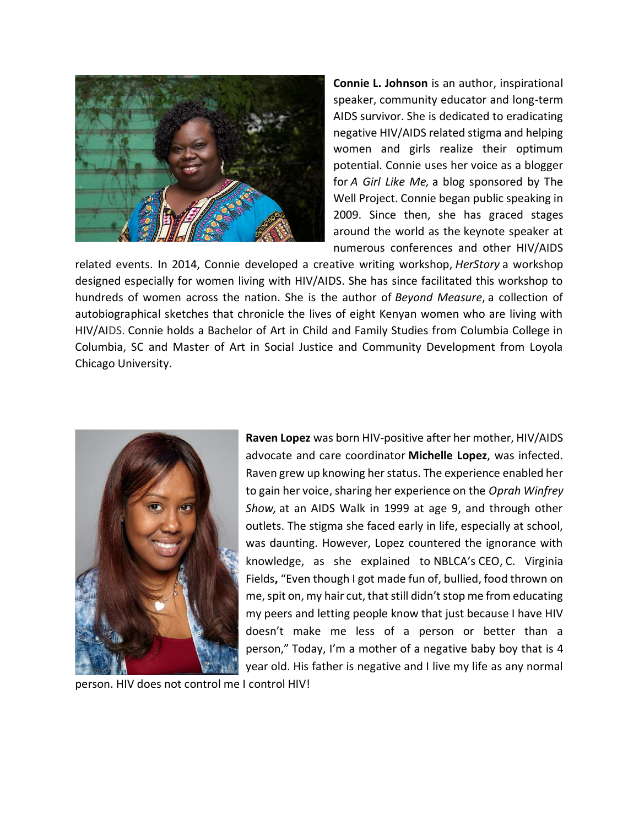

**Connie L. Johnson** is an author, inspirational speaker, community educator and long-term AIDS survivor. She is dedicated to eradicating negative HIV/AIDS related stigma and helping women and girls realize their optimum potential. Connie uses her voice as a blogger for *A Girl Like Me,* a blog sponsored by The Well Project. Connie began public speaking in 2009. Since then, she has graced stages around the world as the keynote speaker at numerous conferences and other HIV/AIDS

related events. In 2014, Connie developed a creative writing workshop, *HerStory* a workshop designed especially for women living with HIV/AIDS. She has since facilitated this workshop to hundreds of women across the nation. She is the author of *Beyond Measure*, a collection of autobiographical sketches that chronicle the lives of eight Kenyan women who are living with HIV/AIDS. Connie holds a Bachelor of Art in Child and Family Studies from Columbia College in Columbia, SC and Master of Art in Social Justice and Community Development from Loyola Chicago University.



**Raven Lopez** was born HIV-positive after her mother, HIV/AIDS advocate and care coordinator **Michelle Lopez**, was infected. Raven grew up knowing her status. The experience enabled her to gain her voice, sharing her experience on the *Oprah Winfrey Show,* at an AIDS Walk in 1999 at age 9, and through other outlets. The stigma she faced early in life, especially at school, was daunting. However, Lopez countered the ignorance with knowledge, as she explained to NBLCA's CEO, C. Virginia Fields**,** "Even though I got made fun of, bullied, food thrown on me, spit on, my hair cut, that still didn't stop me from educating my peers and letting people know that just because I have HIV doesn't make me less of a person or better than a person," Today, I'm a mother of a negative baby boy that is 4 year old. His father is negative and I live my life as any normal

person. HIV does not control me I control HIV!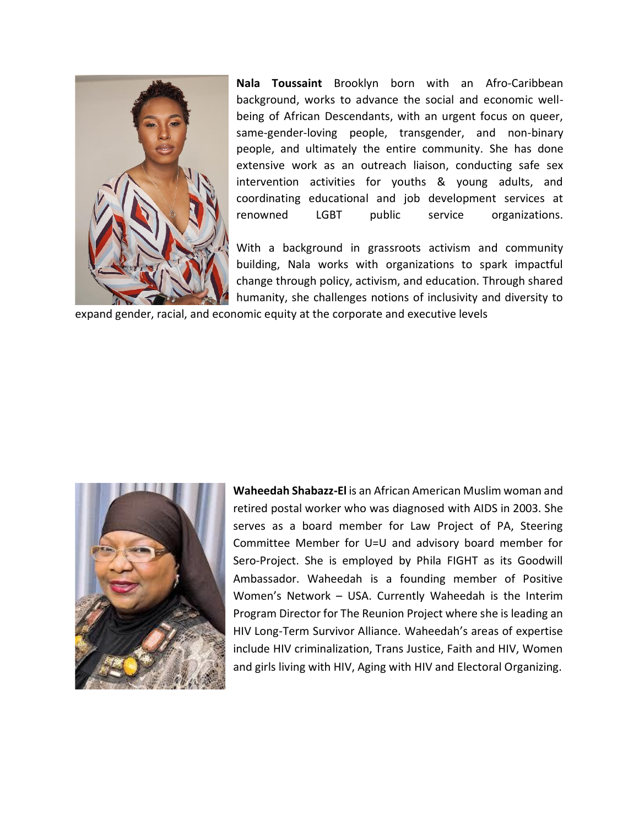

**Nala Toussaint** Brooklyn born with an Afro-Caribbean background, works to advance the social and economic wellbeing of African Descendants, with an urgent focus on queer, same-gender-loving people, transgender, and non-binary people, and ultimately the entire community. She has done extensive work as an outreach liaison, conducting safe sex intervention activities for youths & young adults, and coordinating educational and job development services at renowned LGBT public service organizations.

With a background in grassroots activism and community building, Nala works with organizations to spark impactful change through policy, activism, and education. Through shared humanity, she challenges notions of inclusivity and diversity to

expand gender, racial, and economic equity at the corporate and executive levels



**Waheedah Shabazz-El** is an African American Muslim woman and retired postal worker who was diagnosed with AIDS in 2003. She serves as a board member for Law Project of PA, Steering Committee Member for U=U and advisory board member for Sero-Project. She is employed by Phila FIGHT as its Goodwill Ambassador. Waheedah is a founding member of Positive Women's Network – USA. Currently Waheedah is the Interim Program Director for The Reunion Project where she is leading an HIV Long-Term Survivor Alliance. Waheedah's areas of expertise include HIV criminalization, Trans Justice, Faith and HIV, Women and girls living with HIV, Aging with HIV and Electoral Organizing.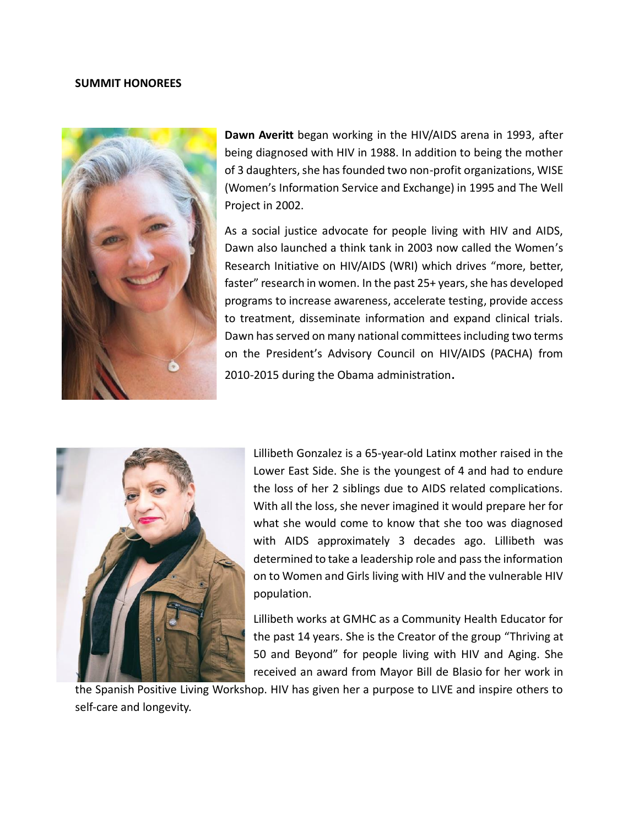## **SUMMIT HONOREES**



**Dawn Averitt** began working in the HIV/AIDS arena in 1993, after being diagnosed with HIV in 1988. In addition to being the mother of 3 daughters, she has founded two non-profit organizations, WISE (Women's Information Service and Exchange) in 1995 and The Well Project in 2002.

As a social justice advocate for people living with HIV and AIDS, Dawn also launched a think tank in 2003 now called the Women's Research Initiative on HIV/AIDS (WRI) which drives "more, better, faster" research in women. In the past 25+ years, she has developed programs to increase awareness, accelerate testing, provide access to treatment, disseminate information and expand clinical trials. Dawn has served on many national committees including two terms on the President's Advisory Council on HIV/AIDS (PACHA) from 2010-2015 during the Obama administration.



Lillibeth Gonzalez is a 65-year-old Latinx mother raised in the Lower East Side. She is the youngest of 4 and had to endure the loss of her 2 siblings due to AIDS related complications. With all the loss, she never imagined it would prepare her for what she would come to know that she too was diagnosed with AIDS approximately 3 decades ago. Lillibeth was determined to take a leadership role and pass the information on to Women and Girls living with HIV and the vulnerable HIV population.

Lillibeth works at GMHC as a Community Health Educator for the past 14 years. She is the Creator of the group "Thriving at 50 and Beyond" for people living with HIV and Aging. She received an award from Mayor Bill de Blasio for her work in

the Spanish Positive Living Workshop. HIV has given her a purpose to LIVE and inspire others to self-care and longevity.